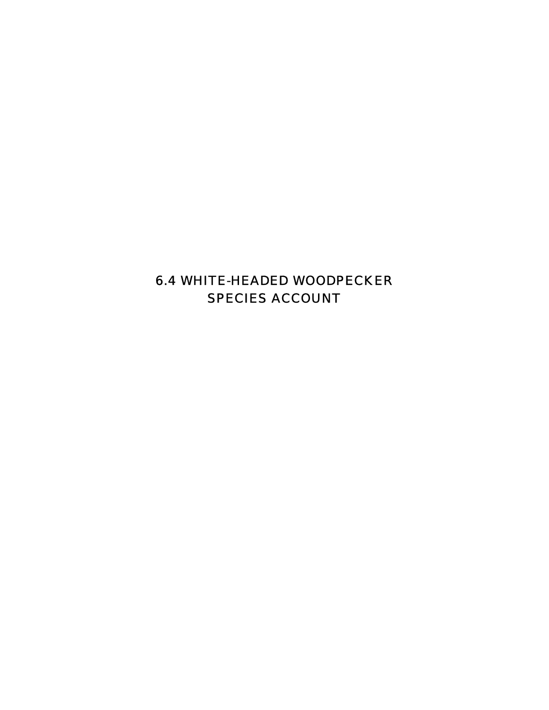# 6.4 WHITE-HEADED WOODPECKER SPECIES ACCOUNT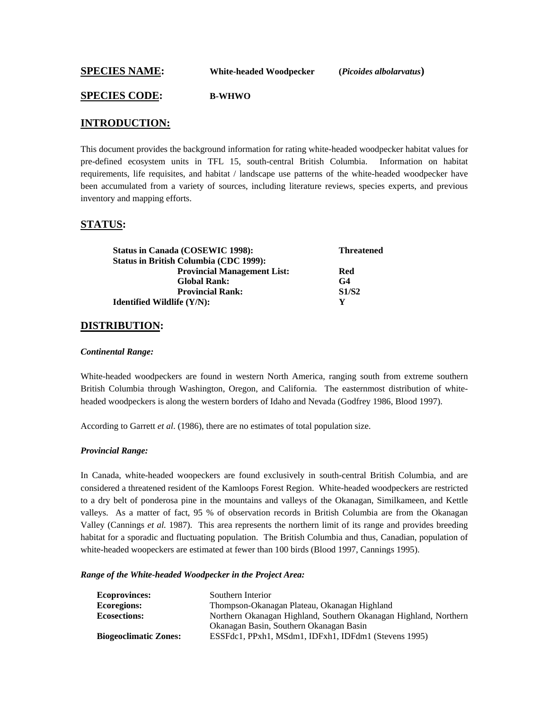**SPECIES NAME: White-headed Woodpecker (***Picoides albolarvatus***)** 

#### **SPECIES CODE: B-WHWO**

# **INTRODUCTION:**

This document provides the background information for rating white-headed woodpecker habitat values for pre-defined ecosystem units in TFL 15, south-central British Columbia. Information on habitat requirements, life requisites, and habitat / landscape use patterns of the white-headed woodpecker have been accumulated from a variety of sources, including literature reviews, species experts, and previous inventory and mapping efforts.

#### **STATUS:**

| <b>Status in Canada (COSEWIC 1998):</b>       | <b>Threatened</b> |
|-----------------------------------------------|-------------------|
| <b>Status in British Columbia (CDC 1999):</b> |                   |
| <b>Provincial Management List:</b>            | Red               |
| <b>Global Rank:</b>                           | G <sub>4</sub>    |
| <b>Provincial Rank:</b>                       | <b>S1/S2</b>      |
| <b>Identified Wildlife (Y/N):</b>             | Y                 |

#### **DISTRIBUTION:**

#### *Continental Range:*

White-headed woodpeckers are found in western North America, ranging south from extreme southern British Columbia through Washington, Oregon, and California. The easternmost distribution of whiteheaded woodpeckers is along the western borders of Idaho and Nevada (Godfrey 1986, Blood 1997).

According to Garrett *et al*. (1986), there are no estimates of total population size.

#### *Provincial Range:*

In Canada, white-headed woopeckers are found exclusively in south-central British Columbia, and are considered a threatened resident of the Kamloops Forest Region. White-headed woodpeckers are restricted to a dry belt of ponderosa pine in the mountains and valleys of the Okanagan, Similkameen, and Kettle valleys. As a matter of fact, 95 % of observation records in British Columbia are from the Okanagan Valley (Cannings *et al.* 1987). This area represents the northern limit of its range and provides breeding habitat for a sporadic and fluctuating population. The British Columbia and thus, Canadian, population of white-headed woopeckers are estimated at fewer than 100 birds (Blood 1997, Cannings 1995).

*Range of the White-headed Woodpecker in the Project Area:* 

| <b>Ecoprovinces:</b>         | Southern Interior                                                |
|------------------------------|------------------------------------------------------------------|
| <b>Ecoregions:</b>           | Thompson-Okanagan Plateau, Okanagan Highland                     |
| <b>Ecosections:</b>          | Northern Okanagan Highland, Southern Okanagan Highland, Northern |
|                              | Okanagan Basin, Southern Okanagan Basin                          |
| <b>Biogeoclimatic Zones:</b> | ESSFdc1, PPxh1, MSdm1, IDFxh1, IDFdm1 (Stevens 1995)             |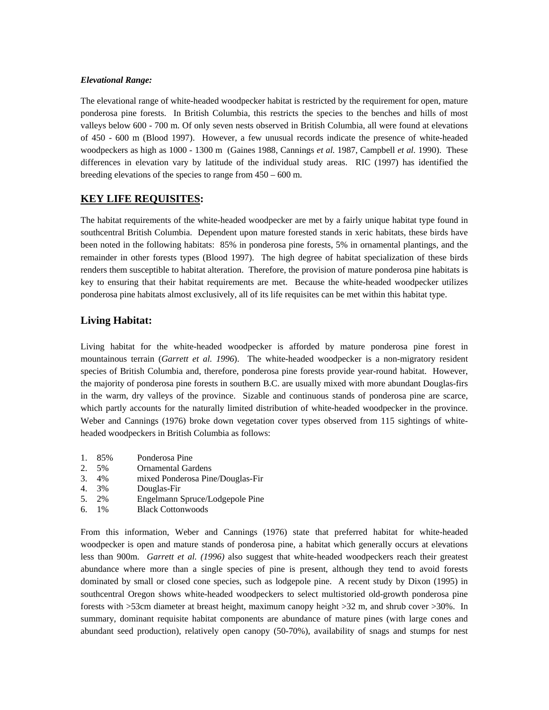#### *Elevational Range:*

The elevational range of white-headed woodpecker habitat is restricted by the requirement for open, mature ponderosa pine forests. In British Columbia, this restricts the species to the benches and hills of most valleys below 600 - 700 m. Of only seven nests observed in British Columbia, all were found at elevations of 450 - 600 m (Blood 1997). However, a few unusual records indicate the presence of white-headed woodpeckers as high as 1000 - 1300 m (Gaines 1988, Cannings *et al.* 1987, Campbell *et al.* 1990). These differences in elevation vary by latitude of the individual study areas. RIC (1997) has identified the breeding elevations of the species to range from 450 – 600 m.

## **KEY LIFE REQUISITES:**

The habitat requirements of the white-headed woodpecker are met by a fairly unique habitat type found in southcentral British Columbia. Dependent upon mature forested stands in xeric habitats, these birds have been noted in the following habitats: 85% in ponderosa pine forests, 5% in ornamental plantings, and the remainder in other forests types (Blood 1997). The high degree of habitat specialization of these birds renders them susceptible to habitat alteration. Therefore, the provision of mature ponderosa pine habitats is key to ensuring that their habitat requirements are met. Because the white-headed woodpecker utilizes ponderosa pine habitats almost exclusively, all of its life requisites can be met within this habitat type.

# **Living Habitat:**

Living habitat for the white-headed woodpecker is afforded by mature ponderosa pine forest in mountainous terrain (*Garrett et al. 1996*). The white-headed woodpecker is a non-migratory resident species of British Columbia and, therefore, ponderosa pine forests provide year-round habitat. However, the majority of ponderosa pine forests in southern B.C. are usually mixed with more abundant Douglas-firs in the warm, dry valleys of the province. Sizable and continuous stands of ponderosa pine are scarce, which partly accounts for the naturally limited distribution of white-headed woodpecker in the province. Weber and Cannings (1976) broke down vegetation cover types observed from 115 sightings of whiteheaded woodpeckers in British Columbia as follows:

- 1. 85% Ponderosa Pine
- 2. 5% Ornamental Gardens
- 3. 4% mixed Ponderosa Pine/Douglas-Fir
- 4. 3% Douglas-Fir
- 5. 2% Engelmann Spruce/Lodgepole Pine
- 6. 1% Black Cottonwoods

From this information, Weber and Cannings (1976) state that preferred habitat for white-headed woodpecker is open and mature stands of ponderosa pine, a habitat which generally occurs at elevations less than 900m. *Garrett et al. (1996)* also suggest that white-headed woodpeckers reach their greatest abundance where more than a single species of pine is present, although they tend to avoid forests dominated by small or closed cone species, such as lodgepole pine. A recent study by Dixon (1995) in southcentral Oregon shows white-headed woodpeckers to select multistoried old-growth ponderosa pine forests with >53cm diameter at breast height, maximum canopy height >32 m, and shrub cover >30%. In summary, dominant requisite habitat components are abundance of mature pines (with large cones and abundant seed production), relatively open canopy (50-70%), availability of snags and stumps for nest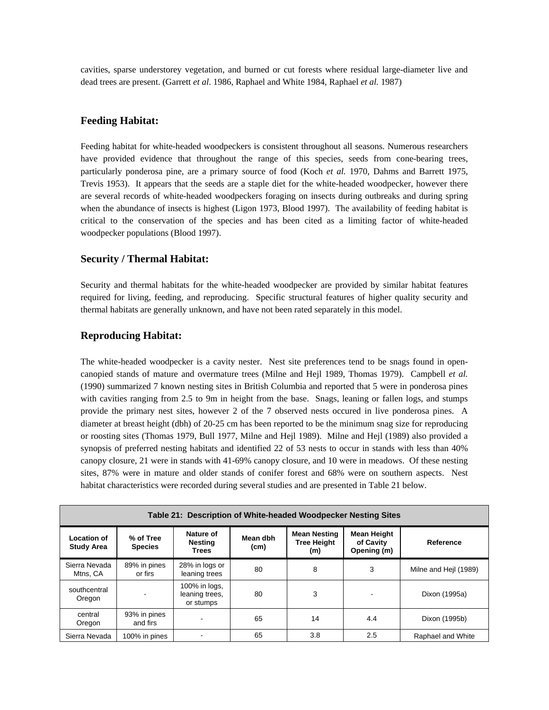cavities, sparse understorey vegetation, and burned or cut forests where residual large-diameter live and dead trees are present. (Garrett *et al*. 1986, Raphael and White 1984, Raphael *et al.* 1987)

### **Feeding Habitat:**

Feeding habitat for white-headed woodpeckers is consistent throughout all seasons. Numerous researchers have provided evidence that throughout the range of this species, seeds from cone-bearing trees, particularly ponderosa pine, are a primary source of food (Koch *et al.* 1970, Dahms and Barrett 1975, Trevis 1953). It appears that the seeds are a staple diet for the white-headed woodpecker, however there are several records of white-headed woodpeckers foraging on insects during outbreaks and during spring when the abundance of insects is highest (Ligon 1973, Blood 1997). The availability of feeding habitat is critical to the conservation of the species and has been cited as a limiting factor of white-headed woodpecker populations (Blood 1997).

#### **Security / Thermal Habitat:**

Security and thermal habitats for the white-headed woodpecker are provided by similar habitat features required for living, feeding, and reproducing. Specific structural features of higher quality security and thermal habitats are generally unknown, and have not been rated separately in this model.

## **Reproducing Habitat:**

The white-headed woodpecker is a cavity nester. Nest site preferences tend to be snags found in opencanopied stands of mature and overmature trees (Milne and Hejl 1989, Thomas 1979). Campbell *et al.* (1990) summarized 7 known nesting sites in British Columbia and reported that 5 were in ponderosa pines with cavities ranging from 2.5 to 9m in height from the base. Snags, leaning or fallen logs, and stumps provide the primary nest sites, however 2 of the 7 observed nests occured in live ponderosa pines. A diameter at breast height (dbh) of 20-25 cm has been reported to be the minimum snag size for reproducing or roosting sites (Thomas 1979, Bull 1977, Milne and Hejl 1989). Milne and Hejl (1989) also provided a synopsis of preferred nesting habitats and identified 22 of 53 nests to occur in stands with less than 40% canopy closure, 21 were in stands with 41-69% canopy closure, and 10 were in meadows. Of these nesting sites, 87% were in mature and older stands of conifer forest and 68% were on southern aspects. Nest habitat characteristics were recorded during several studies and are presented in Table 21 below.

| Table 21: Description of White-headed Woodpecker Nesting Sites |                             |                                              |                  |                                           |                                         |                       |
|----------------------------------------------------------------|-----------------------------|----------------------------------------------|------------------|-------------------------------------------|-----------------------------------------|-----------------------|
| <b>Location of</b><br><b>Study Area</b>                        | % of Tree<br><b>Species</b> | Nature of<br>Nesting<br>Trees                | Mean dbh<br>(cm) | <b>Mean Nesting</b><br>Tree Height<br>(m) | Mean Height<br>of Cavity<br>Opening (m) | Reference             |
| Sierra Nevada<br>Mtns, CA                                      | 89% in pines<br>or firs     | 28% in logs or<br>leaning trees              | 80               | 8                                         | 3                                       | Milne and Heil (1989) |
| southcentral<br>Oregon                                         |                             | 100% in logs,<br>leaning trees.<br>or stumps | 80               | 3                                         |                                         | Dixon (1995a)         |
| central<br>Oregon                                              | 93% in pines<br>and firs    |                                              | 65               | 14                                        | 4.4                                     | Dixon (1995b)         |
| Sierra Nevada                                                  | 100% in pines               |                                              | 65               | 3.8                                       | 2.5                                     | Raphael and White     |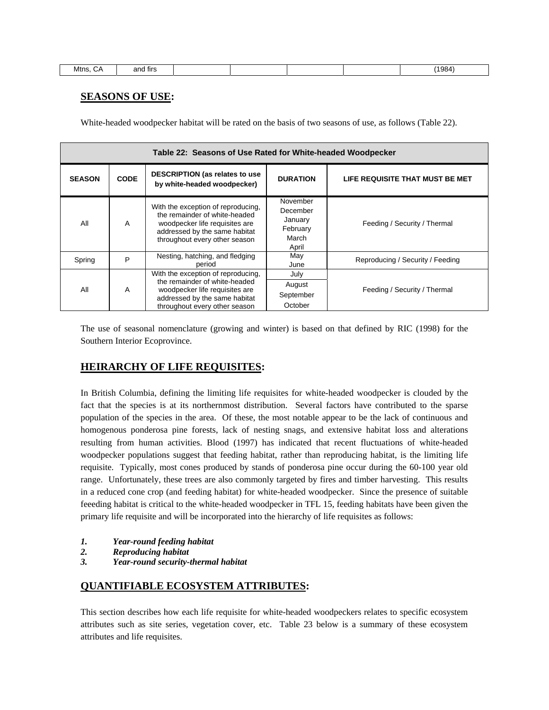| '1984.<br>Mtns.<br>and firs<br>$\mathbf{v}$ |  |
|---------------------------------------------|--|
|---------------------------------------------|--|

# **SEASONS OF USE:**

White-headed woodpecker habitat will be rated on the basis of two seasons of use, as follows (Table 22).

| Table 22: Seasons of Use Rated for White-headed Woodpecker |                                                                                                       |                                                                                                                                                                         |                                                               |                                  |
|------------------------------------------------------------|-------------------------------------------------------------------------------------------------------|-------------------------------------------------------------------------------------------------------------------------------------------------------------------------|---------------------------------------------------------------|----------------------------------|
| <b>SEASON</b>                                              | <b>CODE</b>                                                                                           | <b>DESCRIPTION (as relates to use</b><br>by white-headed woodpecker)                                                                                                    | <b>DURATION</b>                                               | LIFE REQUISITE THAT MUST BE MET  |
| All                                                        | A                                                                                                     | With the exception of reproducing,<br>the remainder of white-headed<br>woodpecker life requisites are<br>addressed by the same habitat<br>throughout every other season | November<br>December<br>January<br>February<br>March<br>April | Feeding / Security / Thermal     |
| Spring                                                     | P                                                                                                     | Nesting, hatching, and fledging<br>period                                                                                                                               | May<br>June                                                   | Reproducing / Security / Feeding |
| All<br>A                                                   | With the exception of reproducing,<br>the remainder of white-headed<br>woodpecker life requisites are | July                                                                                                                                                                    |                                                               |                                  |
|                                                            |                                                                                                       | August                                                                                                                                                                  | Feeding / Security / Thermal                                  |                                  |
|                                                            |                                                                                                       | addressed by the same habitat                                                                                                                                           | September                                                     |                                  |
|                                                            |                                                                                                       | throughout every other season                                                                                                                                           | October                                                       |                                  |

The use of seasonal nomenclature (growing and winter) is based on that defined by RIC (1998) for the Southern Interior Ecoprovince.

# **HEIRARCHY OF LIFE REQUISITES:**

In British Columbia, defining the limiting life requisites for white-headed woodpecker is clouded by the fact that the species is at its northernmost distribution. Several factors have contributed to the sparse population of the species in the area. Of these, the most notable appear to be the lack of continuous and homogenous ponderosa pine forests, lack of nesting snags, and extensive habitat loss and alterations resulting from human activities. Blood (1997) has indicated that recent fluctuations of white-headed woodpecker populations suggest that feeding habitat, rather than reproducing habitat, is the limiting life requisite. Typically, most cones produced by stands of ponderosa pine occur during the 60-100 year old range. Unfortunately, these trees are also commonly targeted by fires and timber harvesting. This results in a reduced cone crop (and feeding habitat) for white-headed woodpecker. Since the presence of suitable feeeding habitat is critical to the white-headed woodpecker in TFL 15, feeding habitats have been given the primary life requisite and will be incorporated into the hierarchy of life requisites as follows:

- *1. Year-round feeding habitat*
- *2. Reproducing habitat*
- *3. Year-round security-thermal habitat*

## **QUANTIFIABLE ECOSYSTEM ATTRIBUTES:**

This section describes how each life requisite for white-headed woodpeckers relates to specific ecosystem attributes such as site series, vegetation cover, etc. Table 23 below is a summary of these ecosystem attributes and life requisites.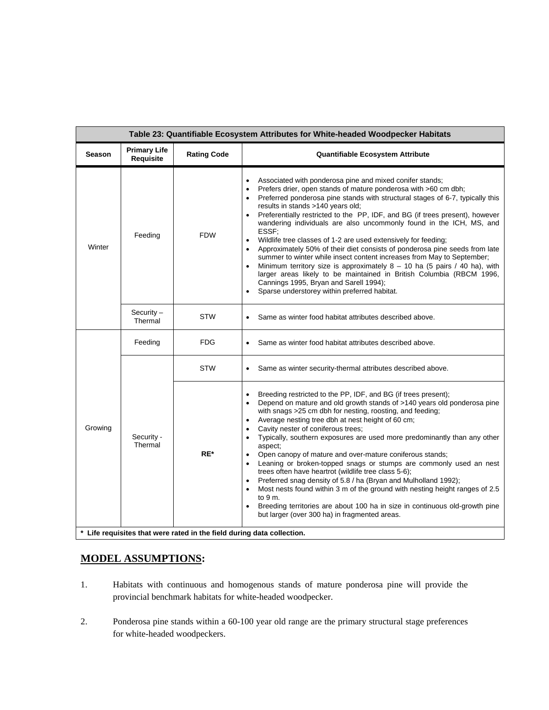| Table 23: Quantifiable Ecosystem Attributes for White-headed Woodpecker Habitats |                                  |                                                                        |                                                                                                                                                                                                                                                                                                                                                                                                                                                                                                                                                                                                                                                                                                                                                                                                                                                                                                                                                         |  |  |
|----------------------------------------------------------------------------------|----------------------------------|------------------------------------------------------------------------|---------------------------------------------------------------------------------------------------------------------------------------------------------------------------------------------------------------------------------------------------------------------------------------------------------------------------------------------------------------------------------------------------------------------------------------------------------------------------------------------------------------------------------------------------------------------------------------------------------------------------------------------------------------------------------------------------------------------------------------------------------------------------------------------------------------------------------------------------------------------------------------------------------------------------------------------------------|--|--|
| <b>Season</b>                                                                    | <b>Primary Life</b><br>Requisite | <b>Rating Code</b>                                                     | <b>Quantifiable Ecosystem Attribute</b>                                                                                                                                                                                                                                                                                                                                                                                                                                                                                                                                                                                                                                                                                                                                                                                                                                                                                                                 |  |  |
| Winter                                                                           | Feeding                          | <b>FDW</b>                                                             | Associated with ponderosa pine and mixed conifer stands;<br>Prefers drier, open stands of mature ponderosa with >60 cm dbh;<br>$\bullet$<br>Preferred ponderosa pine stands with structural stages of 6-7, typically this<br>results in stands >140 years old;<br>Preferentially restricted to the PP, IDF, and BG (if trees present), however<br>wandering individuals are also uncommonly found in the ICH, MS, and<br>ESSF;<br>Wildlife tree classes of 1-2 are used extensively for feeding;<br>$\bullet$<br>Approximately 50% of their diet consists of ponderosa pine seeds from late<br>$\bullet$<br>summer to winter while insect content increases from May to September;<br>Minimum territory size is approximately $8 - 10$ ha (5 pairs / 40 ha), with<br>$\bullet$<br>larger areas likely to be maintained in British Columbia (RBCM 1996,<br>Cannings 1995, Bryan and Sarell 1994);<br>Sparse understorey within preferred habitat.        |  |  |
|                                                                                  | Security $-$<br>Thermal          | <b>STW</b>                                                             | Same as winter food habitat attributes described above.                                                                                                                                                                                                                                                                                                                                                                                                                                                                                                                                                                                                                                                                                                                                                                                                                                                                                                 |  |  |
| Growing                                                                          | Feeding                          | <b>FDG</b>                                                             | Same as winter food habitat attributes described above.                                                                                                                                                                                                                                                                                                                                                                                                                                                                                                                                                                                                                                                                                                                                                                                                                                                                                                 |  |  |
|                                                                                  |                                  | <b>STW</b>                                                             | Same as winter security-thermal attributes described above.                                                                                                                                                                                                                                                                                                                                                                                                                                                                                                                                                                                                                                                                                                                                                                                                                                                                                             |  |  |
|                                                                                  | Security -<br>Thermal            | RE*                                                                    | Breeding restricted to the PP, IDF, and BG (if trees present);<br>$\bullet$<br>Depend on mature and old growth stands of >140 years old ponderosa pine<br>$\bullet$<br>with snags >25 cm dbh for nesting, roosting, and feeding;<br>Average nesting tree dbh at nest height of 60 cm;<br>$\bullet$<br>Cavity nester of coniferous trees;<br>$\bullet$<br>Typically, southern exposures are used more predominantly than any other<br>٠<br>aspect;<br>Open canopy of mature and over-mature coniferous stands;<br>Leaning or broken-topped snags or stumps are commonly used an nest<br>$\bullet$<br>trees often have heartrot (wildlife tree class 5-6);<br>Preferred snag density of 5.8 / ha (Bryan and Mulholland 1992);<br>Most nests found within 3 m of the ground with nesting height ranges of 2.5<br>to $9m$ .<br>Breeding territories are about 100 ha in size in continuous old-growth pine<br>but larger (over 300 ha) in fragmented areas. |  |  |
|                                                                                  |                                  | * Life requisites that were rated in the field during data collection. |                                                                                                                                                                                                                                                                                                                                                                                                                                                                                                                                                                                                                                                                                                                                                                                                                                                                                                                                                         |  |  |

# **MODEL ASSUMPTIONS:**

- 1. Habitats with continuous and homogenous stands of mature ponderosa pine will provide the provincial benchmark habitats for white-headed woodpecker.
- 2. Ponderosa pine stands within a 60-100 year old range are the primary structural stage preferences for white-headed woodpeckers.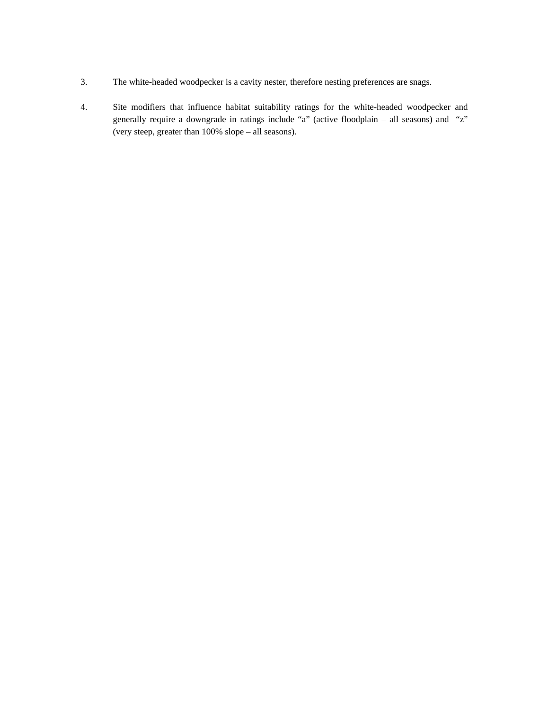- 3. The white-headed woodpecker is a cavity nester, therefore nesting preferences are snags.
- 4. Site modifiers that influence habitat suitability ratings for the white-headed woodpecker and generally require a downgrade in ratings include "a" (active floodplain – all seasons) and "z" (very steep, greater than 100% slope – all seasons).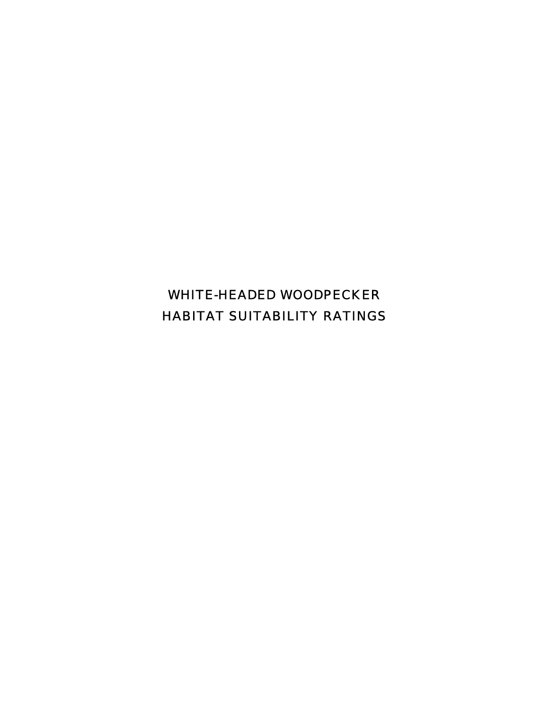WHITE-HEADED WOODPECKER HABITAT SUITABILITY RATINGS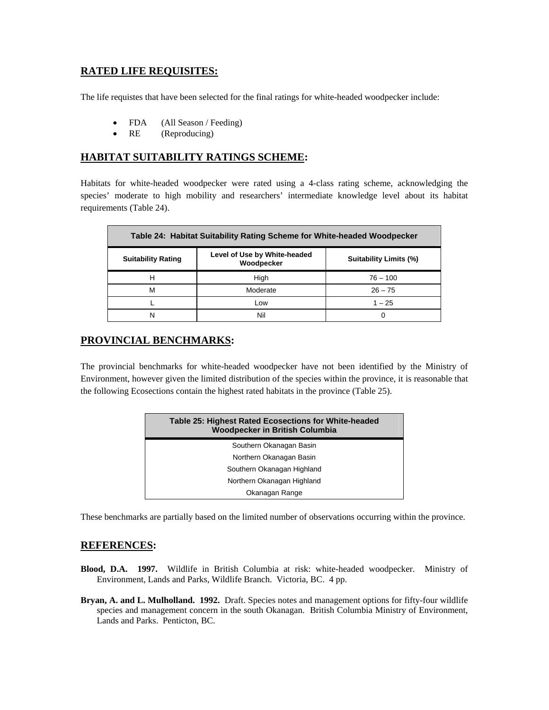# **RATED LIFE REQUISITES:**

The life requistes that have been selected for the final ratings for white-headed woodpecker include:

- FDA (All Season / Feeding)
- RE (Reproducing)

# **HABITAT SUITABILITY RATINGS SCHEME:**

Habitats for white-headed woodpecker were rated using a 4-class rating scheme, acknowledging the species' moderate to high mobility and researchers' intermediate knowledge level about its habitat requirements (Table 24).

| Table 24: Habitat Suitability Rating Scheme for White-headed Woodpecker |                                            |                        |  |
|-------------------------------------------------------------------------|--------------------------------------------|------------------------|--|
| <b>Suitability Rating</b>                                               | Level of Use by White-headed<br>Woodpecker | Suitability Limits (%) |  |
|                                                                         | High                                       | $76 - 100$             |  |
| М                                                                       | Moderate                                   | $26 - 75$              |  |
|                                                                         | Low                                        | $1 - 25$               |  |
| N                                                                       | Nil                                        |                        |  |

# **PROVINCIAL BENCHMARKS:**

The provincial benchmarks for white-headed woodpecker have not been identified by the Ministry of Environment, however given the limited distribution of the species within the province, it is reasonable that the following Ecosections contain the highest rated habitats in the province (Table 25).

| Table 25: Highest Rated Ecosections for White-headed<br><b>Woodpecker in British Columbia</b> |  |
|-----------------------------------------------------------------------------------------------|--|
| Southern Okanagan Basin                                                                       |  |
| Northern Okanagan Basin                                                                       |  |
| Southern Okanagan Highland                                                                    |  |
| Northern Okanagan Highland                                                                    |  |
| Okanagan Range                                                                                |  |
|                                                                                               |  |

These benchmarks are partially based on the limited number of observations occurring within the province.

## **REFERENCES:**

- **Blood, D.A. 1997.** Wildlife in British Columbia at risk: white-headed woodpecker. Ministry of Environment, Lands and Parks, Wildlife Branch. Victoria, BC. 4 pp.
- **Bryan, A. and L. Mulholland. 1992.** Draft. Species notes and management options for fifty-four wildlife species and management concern in the south Okanagan. British Columbia Ministry of Environment, Lands and Parks. Penticton, BC.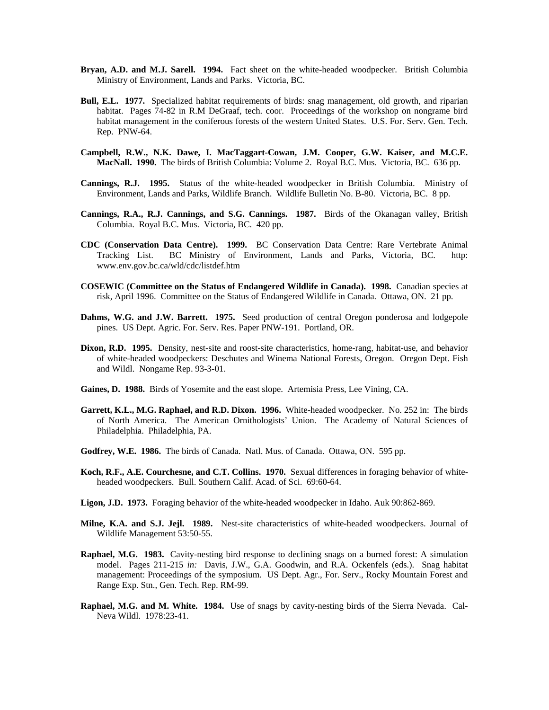- **Bryan, A.D. and M.J. Sarell. 1994.** Fact sheet on the white-headed woodpecker. British Columbia Ministry of Environment, Lands and Parks. Victoria, BC.
- **Bull, E.L. 1977.** Specialized habitat requirements of birds: snag management, old growth, and riparian habitat. Pages 74-82 in R.M DeGraaf, tech. coor. Proceedings of the workshop on nongrame bird habitat management in the coniferous forests of the western United States. U.S. For. Serv. Gen. Tech. Rep. PNW-64.
- **Campbell, R.W., N.K. Dawe, I. MacTaggart-Cowan, J.M. Cooper, G.W. Kaiser, and M.C.E. MacNall. 1990.** The birds of British Columbia: Volume 2. Royal B.C. Mus. Victoria, BC. 636 pp.
- **Cannings, R.J. 1995.** Status of the white-headed woodpecker in British Columbia. Ministry of Environment, Lands and Parks, Wildlife Branch. Wildlife Bulletin No. B-80. Victoria, BC. 8 pp.
- **Cannings, R.A., R.J. Cannings, and S.G. Cannings. 1987.** Birds of the Okanagan valley, British Columbia. Royal B.C. Mus. Victoria, BC. 420 pp.
- **CDC (Conservation Data Centre). 1999.** BC Conservation Data Centre: Rare Vertebrate Animal Tracking List. BC Ministry of Environment, Lands and Parks, Victoria, BC. http: www.env.gov.bc.ca/wld/cdc/listdef.htm
- **COSEWIC (Committee on the Status of Endangered Wildlife in Canada). 1998.** Canadian species at risk, April 1996. Committee on the Status of Endangered Wildlife in Canada. Ottawa, ON. 21 pp.
- **Dahms, W.G. and J.W. Barrett. 1975.** Seed production of central Oregon ponderosa and lodgepole pines. US Dept. Agric. For. Serv. Res. Paper PNW-191. Portland, OR.
- **Dixon, R.D. 1995.** Density, nest-site and roost-site characteristics, home-rang, habitat-use, and behavior of white-headed woodpeckers: Deschutes and Winema National Forests, Oregon. Oregon Dept. Fish and Wildl. Nongame Rep. 93-3-01.
- **Gaines, D. 1988.** Birds of Yosemite and the east slope. Artemisia Press, Lee Vining, CA.
- **Garrett, K.L., M.G. Raphael, and R.D. Dixon. 1996.** White-headed woodpecker. No. 252 in: The birds of North America. The American Ornithologists' Union. The Academy of Natural Sciences of Philadelphia. Philadelphia, PA.
- **Godfrey, W.E. 1986.** The birds of Canada. Natl. Mus. of Canada. Ottawa, ON. 595 pp.
- **Koch, R.F., A.E. Courchesne, and C.T. Collins. 1970.** Sexual differences in foraging behavior of whiteheaded woodpeckers. Bull. Southern Calif. Acad. of Sci. 69:60-64.
- **Ligon, J.D. 1973.** Foraging behavior of the white-headed woodpecker in Idaho. Auk 90:862-869.
- **Milne, K.A. and S.J. Jejl. 1989.** Nest-site characteristics of white-headed woodpeckers. Journal of Wildlife Management 53:50-55.
- **Raphael, M.G. 1983.** Cavity-nesting bird response to declining snags on a burned forest: A simulation model. Pages 211-215 *in:* Davis, J.W., G.A. Goodwin, and R.A. Ockenfels (eds.). Snag habitat management: Proceedings of the symposium. US Dept. Agr., For. Serv., Rocky Mountain Forest and Range Exp. Stn., Gen. Tech. Rep. RM-99.
- **Raphael, M.G. and M. White. 1984.** Use of snags by cavity-nesting birds of the Sierra Nevada. Cal-Neva Wildl. 1978:23-41.